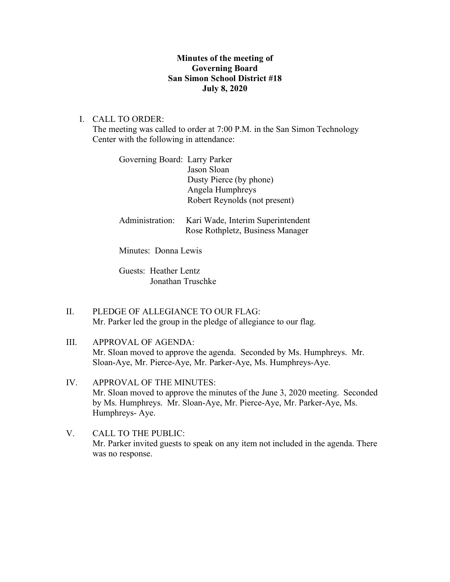## **Minutes of the meeting of Governing Board San Simon School District #18 July 8, 2020**

I. CALL TO ORDER:

The meeting was called to order at 7:00 P.M. in the San Simon Technology Center with the following in attendance:

| Governing Board: Larry Parker |                                   |
|-------------------------------|-----------------------------------|
|                               | Jason Sloan                       |
|                               | Dusty Pierce (by phone)           |
|                               | Angela Humphreys                  |
|                               | Robert Reynolds (not present)     |
|                               |                                   |
| Administration:               | Kari Wade, Interim Superintendent |
|                               | Rose Rothpletz, Business Manager  |

Minutes: Donna Lewis

Guests: Heather Lentz Jonathan Truschke

- II. PLEDGE OF ALLEGIANCE TO OUR FLAG: Mr. Parker led the group in the pledge of allegiance to our flag.
- III. APPROVAL OF AGENDA: Mr. Sloan moved to approve the agenda. Seconded by Ms. Humphreys. Mr. Sloan-Aye, Mr. Pierce-Aye, Mr. Parker-Aye, Ms. Humphreys-Aye.
- IV. APPROVAL OF THE MINUTES: Mr. Sloan moved to approve the minutes of the June 3, 2020 meeting. Seconded by Ms. Humphreys. Mr. Sloan-Aye, Mr. Pierce-Aye, Mr. Parker-Aye, Ms. Humphreys- Aye.
- V. CALL TO THE PUBLIC: Mr. Parker invited guests to speak on any item not included in the agenda. There was no response.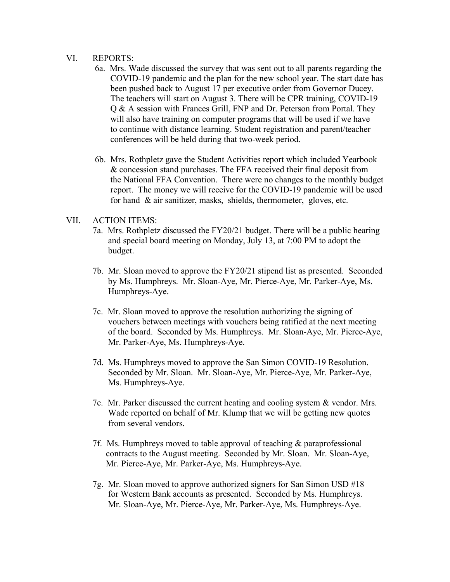## VI. REPORTS:

- 6a. Mrs. Wade discussed the survey that was sent out to all parents regarding the COVID-19 pandemic and the plan for the new school year. The start date has been pushed back to August 17 per executive order from Governor Ducey. The teachers will start on August 3. There will be CPR training, COVID-19 Q & A session with Frances Grill, FNP and Dr. Peterson from Portal. They will also have training on computer programs that will be used if we have to continue with distance learning. Student registration and parent/teacher conferences will be held during that two-week period.
- 6b. Mrs. Rothpletz gave the Student Activities report which included Yearbook & concession stand purchases. The FFA received their final deposit from the National FFA Convention. There were no changes to the monthly budget report. The money we will receive for the COVID-19 pandemic will be used for hand & air sanitizer, masks, shields, thermometer, gloves, etc.

## VII. ACTION ITEMS:

- 7a. Mrs. Rothpletz discussed the FY20/21 budget. There will be a public hearing and special board meeting on Monday, July 13, at 7:00 PM to adopt the budget.
- 7b. Mr. Sloan moved to approve the FY20/21 stipend list as presented. Seconded by Ms. Humphreys. Mr. Sloan-Aye, Mr. Pierce-Aye, Mr. Parker-Aye, Ms. Humphreys-Aye.
- 7c. Mr. Sloan moved to approve the resolution authorizing the signing of vouchers between meetings with vouchers being ratified at the next meeting of the board. Seconded by Ms. Humphreys. Mr. Sloan-Aye, Mr. Pierce-Aye, Mr. Parker-Aye, Ms. Humphreys-Aye.
- 7d. Ms. Humphreys moved to approve the San Simon COVID-19 Resolution. Seconded by Mr. Sloan. Mr. Sloan-Aye, Mr. Pierce-Aye, Mr. Parker-Aye, Ms. Humphreys-Aye.
- 7e. Mr. Parker discussed the current heating and cooling system & vendor. Mrs. Wade reported on behalf of Mr. Klump that we will be getting new quotes from several vendors.
- 7f. Ms. Humphreys moved to table approval of teaching & paraprofessional contracts to the August meeting. Seconded by Mr. Sloan. Mr. Sloan-Aye, Mr. Pierce-Aye, Mr. Parker-Aye, Ms. Humphreys-Aye.
- 7g. Mr. Sloan moved to approve authorized signers for San Simon USD #18 for Western Bank accounts as presented. Seconded by Ms. Humphreys. Mr. Sloan-Aye, Mr. Pierce-Aye, Mr. Parker-Aye, Ms. Humphreys-Aye.